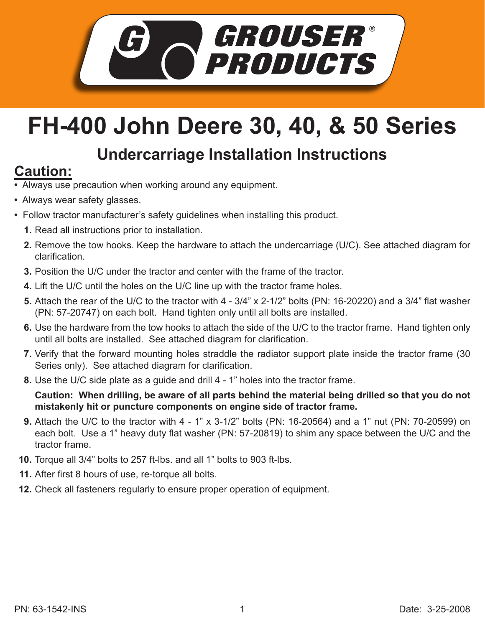

## **FH-400 John Deere 30, 40, & 50 Series**

## **Undercarriage Installation Instructions**

## **Caution:**

- Always use precaution when working around any equipment.
- Always wear safety glasses.
- Follow tractor manufacturer's safety guidelines when installing this product.
	- **1.** Read all instructions prior to installation.
	- **2.** Remove the tow hooks. Keep the hardware to attach the undercarriage (U/C). See attached diagram for clarification.
	- **3.** Position the U/C under the tractor and center with the frame of the tractor.
	- Lift the U/C until the holes on the U/C line up with the tractor frame holes. **4.**
	- Attach the rear of the U/C to the tractor with 4 3/4" x 2-1/2" bolts (PN: 16-20220) and a 3/4" flat washer **5.** (PN: 57-20747) on each bolt. Hand tighten only until all bolts are installed.
	- Use the hardware from the tow hooks to attach the side of the U/C to the tractor frame. Hand tighten only **6.** until all bolts are installed. See attached diagram for clarification.
	- 7. Verify that the forward mounting holes straddle the radiator support plate inside the tractor frame (30 Series only). See attached diagram for clarification.
	- Use the U/C side plate as a guide and drill 4 1" holes into the tractor frame. **8.**

**Caution: When drilling, be aware of all parts behind the material being drilled so that you do not mistakenly hit or puncture components on engine side of tractor frame.**

- Attach the U/C to the tractor with 4 1" x 3-1/2" bolts (PN: 16-20564) and a 1" nut (PN: 70-20599) on **9.** each bolt. Use a 1" heavy duty flat washer (PN: 57-20819) to shim any space between the U/C and the tractor frame.
- **10.** Torque all 3/4" bolts to 257 ft-lbs. and all 1" bolts to 903 ft-lbs.
- After first 8 hours of use, re-torque all bolts. **11.**
- Check all fasteners regularly to ensure proper operation of equipment. **12.**